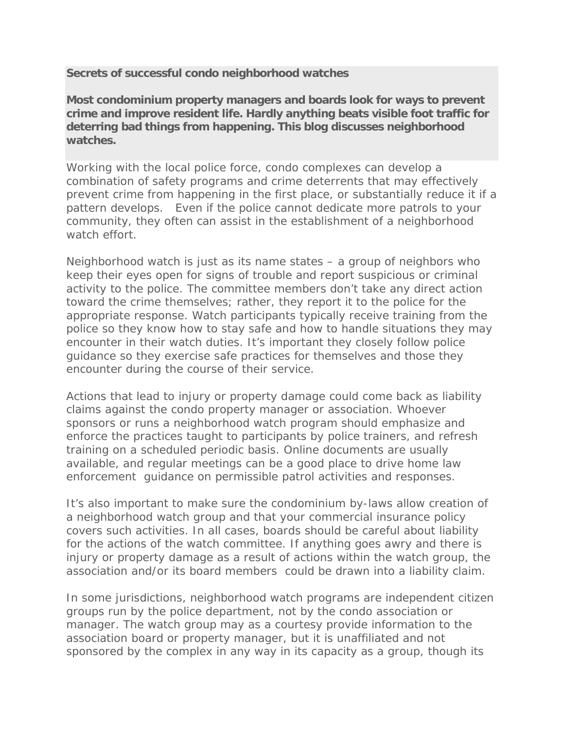**Secrets of successful condo neighborhood watches**

**Most condominium property managers and boards look for ways to prevent crime and improve resident life. Hardly anything beats visible foot traffic for deterring bad things from happening. This blog discusses neighborhood watches.**

Working with the local police force, condo complexes can develop a combination of safety programs and crime deterrents that may effectively prevent crime from happening in the first place, or substantially reduce it if a pattern develops. Even if the police cannot dedicate more patrols to your community, they often can assist in the establishment of a neighborhood watch effort.

Neighborhood watch is just as its name states – a group of neighbors who keep their eyes open for signs of trouble and report suspicious or criminal activity to the police. The committee members don't take any direct action toward the crime themselves; rather, they report it to the police for the appropriate response. Watch participants typically receive training from the police so they know how to stay safe and how to handle situations they may encounter in their watch duties. It's important they closely follow police guidance so they exercise safe practices for themselves and those they encounter during the course of their service.

Actions that lead to injury or property damage could come back as liability claims against the condo property manager or association. Whoever sponsors or runs a neighborhood watch program should emphasize and enforce the practices taught to participants by police trainers, and refresh training on a scheduled periodic basis. Online documents are usually available, and regular meetings can be a good place to drive home law enforcement guidance on permissible patrol activities and responses.

It's also important to make sure the condominium by-laws allow creation of a neighborhood watch group and that your commercial insurance policy covers such activities. In all cases, boards should be careful about liability for the actions of the watch committee. If anything goes awry and there is injury or property damage as a result of actions within the watch group, the association and/or its board members could be drawn into a liability claim.

In some jurisdictions, neighborhood watch programs are independent citizen groups run by the police department, not by the condo association or manager. The watch group may as a courtesy provide information to the association board or property manager, but it is unaffiliated and not sponsored by the complex in any way in its capacity as a group, though its